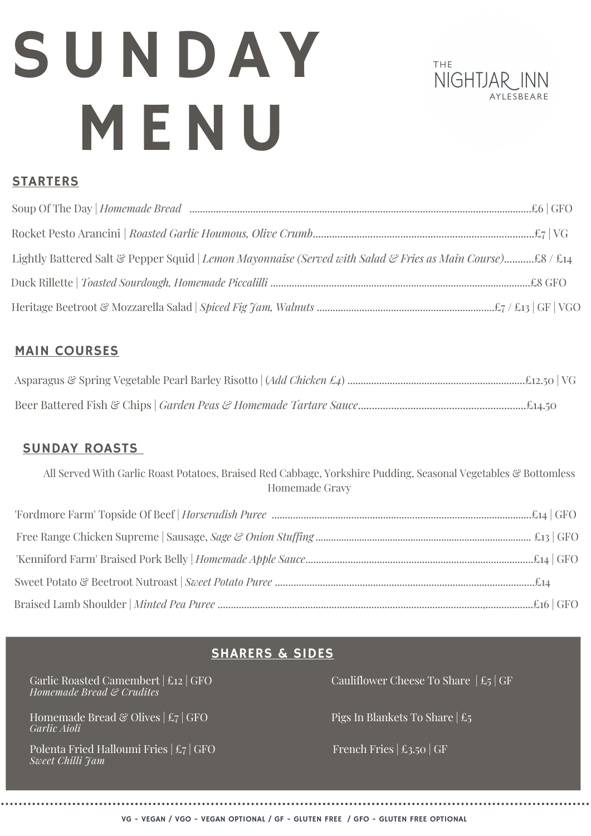# SUNDAY MENU



## STARTERS

# MAIN COURSES

# SUNDAY ROASTS

All Served With Garlic Roast Potatoes, Braised Red Cabbage, Yorkshire Pudding, Seasonal Vegetables & Bottomless Homemade Gravy

# SHARERS & SIDES

Garlic Roasted Camembert | £12 | GFO *Homemade Bread & Crudites*

Homemade Bread & Olives  $|\text{E}_7|$  GFO *Garlic Aioli*

Polenta Fried Halloumi Fries | £7 | GFO *Sweet Chilli Jam*

Cauliflower Cheese To Share  $|\n\text{\pounds}_5|$  GF

Pigs In Blankets To Share | £5

French Fries  $\vert \pounds$ 3.50  $\vert$  GF

VG - VEGAN / VGO - VEGAN OPTIONAL / GF - GLUTEN FREE / GFO - GLUTEN FREE OPTIONAL